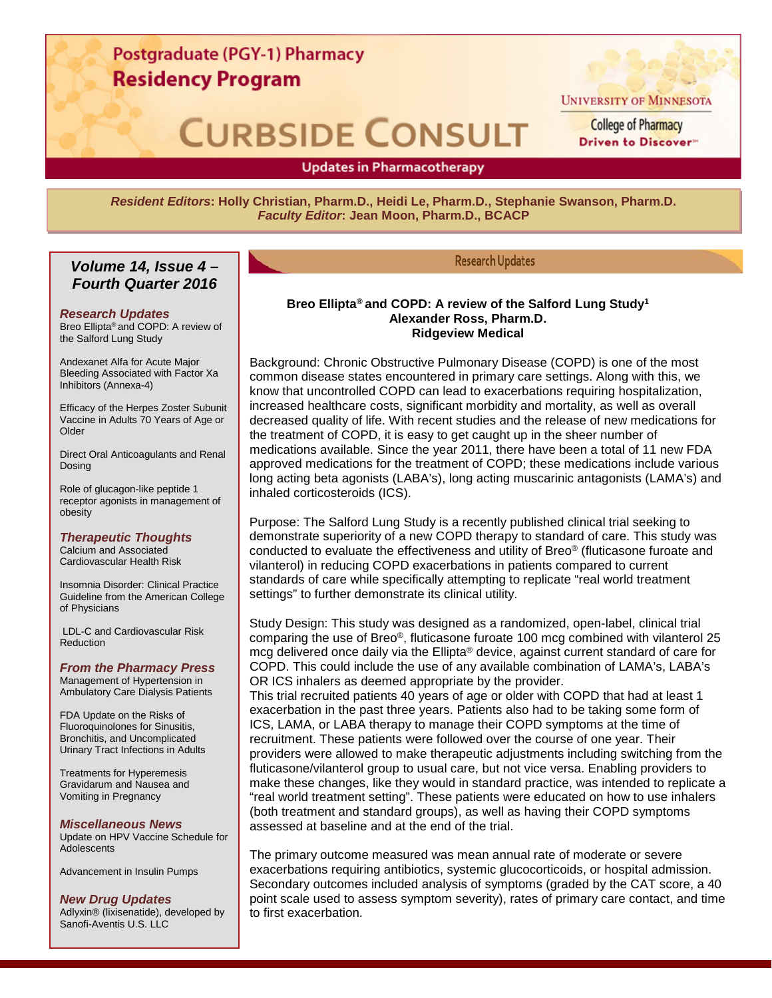### Postgraduate (PGY-1) Pharmacy **Residency Program**

# **CURBSIDE CONSULT**



**UNIVERSITY OF MINNESOTA** 

**College of Pharmacy** Driven to Discover"

**Updates in Pharmacotherapy** 

 $\overline{a}$ 

*Resident Editors***: Holly Christian, Pharm.D., Heidi Le, Pharm.D., Stephanie Swanson, Pharm.D.** *Faculty Editor***: Jean Moon, Pharm.D., BCACP**

#### *Volume 14, Issue 4 – Fourth Quarter 2016*

#### *Research Updates*

Breo Ellipta® and COPD: A review of the Salford Lung Study

Andexanet Alfa for Acute Major Bleeding Associated with Factor Xa Inhibitors (Annexa-4)

Efficacy of the Herpes Zoster Subunit Vaccine in Adults 70 Years of Age or Older

Direct Oral Anticoagulants and Renal Dosing

Role of glucagon-like peptide 1 receptor agonists in management of obesity

*Therapeutic Thoughts*

Calcium and Associated Cardiovascular Health Risk

Insomnia Disorder: Clinical Practice Guideline from the American College of Physicians

LDL-C and Cardiovascular Risk Reduction

#### *From the Pharmacy Press*

Management of Hypertension in Ambulatory Care Dialysis Patients

FDA Update on the Risks of Fluoroquinolones for Sinusitis, Bronchitis, and Uncomplicated Urinary Tract Infections in Adults

Treatments for Hyperemesis Gravidarum and Nausea and Vomiting in Pregnancy

#### *Miscellaneous News*

Update on HPV Vaccine Schedule for **Adolescents** 

Advancement in Insulin Pumps

#### *New Drug Updates*

Adlyxin® (lixisenatide), developed by Sanofi-Aventis U.S. LLC

.

#### **Research Updates**

#### **Breo Ellipta® and COPD: A review of the Salford Lung Study1 Alexander Ross, Pharm.D. Ridgeview Medical**

Background: Chronic Obstructive Pulmonary Disease (COPD) is one of the most common disease states encountered in primary care settings. Along with this, we know that uncontrolled COPD can lead to exacerbations requiring hospitalization, increased healthcare costs, significant morbidity and mortality, as well as overall decreased quality of life. With recent studies and the release of new medications for the treatment of COPD, it is easy to get caught up in the sheer number of medications available. Since the year 2011, there have been a total of 11 new FDA approved medications for the treatment of COPD; these medications include various long acting beta agonists (LABA's), long acting muscarinic antagonists (LAMA's) and inhaled corticosteroids (ICS).

Purpose: The Salford Lung Study is a recently published clinical trial seeking to demonstrate superiority of a new COPD therapy to standard of care. This study was conducted to evaluate the effectiveness and utility of Breo® (fluticasone furoate and vilanterol) in reducing COPD exacerbations in patients compared to current standards of care while specifically attempting to replicate "real world treatment settings" to further demonstrate its clinical utility.

Study Design: This study was designed as a randomized, open-label, clinical trial comparing the use of Breo®, fluticasone furoate 100 mcg combined with vilanterol 25 mcg delivered once daily via the Ellipta® device, against current standard of care for COPD. This could include the use of any available combination of LAMA's, LABA's OR ICS inhalers as deemed appropriate by the provider.

This trial recruited patients 40 years of age or older with COPD that had at least 1 exacerbation in the past three years. Patients also had to be taking some form of ICS, LAMA, or LABA therapy to manage their COPD symptoms at the time of recruitment. These patients were followed over the course of one year. Their providers were allowed to make therapeutic adjustments including switching from the fluticasone/vilanterol group to usual care, but not vice versa. Enabling providers to make these changes, like they would in standard practice, was intended to replicate a "real world treatment setting". These patients were educated on how to use inhalers (both treatment and standard groups), as well as having their COPD symptoms assessed at baseline and at the end of the trial.

The primary outcome measured was mean annual rate of moderate or severe exacerbations requiring antibiotics, systemic glucocorticoids, or hospital admission. Secondary outcomes included analysis of symptoms (graded by the CAT score, a 40 point scale used to assess symptom severity), rates of primary care contact, and time to first exacerbation.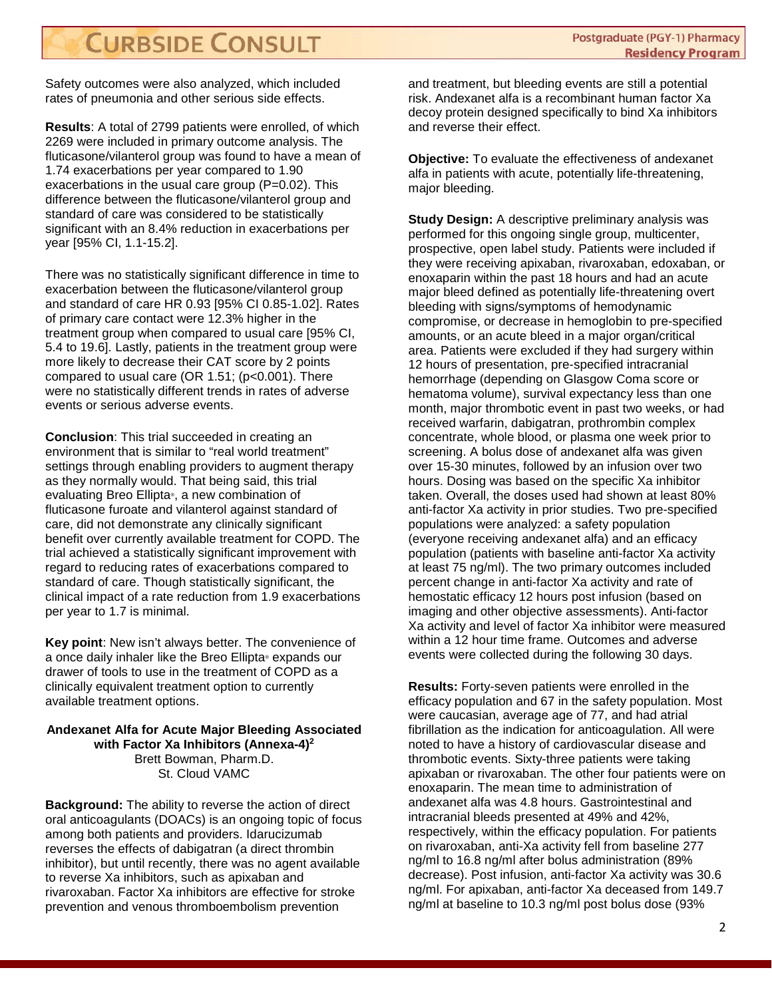Safety outcomes were also analyzed, which included rates of pneumonia and other serious side effects.

**Results**: A total of 2799 patients were enrolled, of which 2269 were included in primary outcome analysis. The fluticasone/vilanterol group was found to have a mean of 1.74 exacerbations per year compared to 1.90 exacerbations in the usual care group (P=0.02). This difference between the fluticasone/vilanterol group and standard of care was considered to be statistically significant with an 8.4% reduction in exacerbations per year [95% CI, 1.1-15.2].

There was no statistically significant difference in time to exacerbation between the fluticasone/vilanterol group and standard of care HR 0.93 [95% CI 0.85-1.02]. Rates of primary care contact were 12.3% higher in the treatment group when compared to usual care [95% CI, 5.4 to 19.6]. Lastly, patients in the treatment group were more likely to decrease their CAT score by 2 points compared to usual care (OR 1.51; (p<0.001). There were no statistically different trends in rates of adverse events or serious adverse events.

**Conclusion**: This trial succeeded in creating an environment that is similar to "real world treatment" settings through enabling providers to augment therapy as they normally would. That being said, this trial evaluating Breo Ellipta®, a new combination of fluticasone furoate and vilanterol against standard of care, did not demonstrate any clinically significant benefit over currently available treatment for COPD. The trial achieved a statistically significant improvement with regard to reducing rates of exacerbations compared to standard of care. Though statistically significant, the clinical impact of a rate reduction from 1.9 exacerbations per year to 1.7 is minimal.

**Key point**: New isn't always better. The convenience of a once daily inhaler like the Breo Ellipta® expands our drawer of tools to use in the treatment of COPD as a clinically equivalent treatment option to currently available treatment options.

#### **Andexanet Alfa for Acute Major Bleeding Associated with Factor Xa Inhibitors (Annexa-4)2** Brett Bowman, Pharm.D. St. Cloud VAMC

**Background:** The ability to reverse the action of direct oral anticoagulants (DOACs) is an ongoing topic of focus among both patients and providers. Idarucizumab reverses the effects of dabigatran (a direct thrombin inhibitor), but until recently, there was no agent available to reverse Xa inhibitors, such as apixaban and rivaroxaban. Factor Xa inhibitors are effective for stroke prevention and venous thromboembolism prevention

and treatment, but bleeding events are still a potential risk. Andexanet alfa is a recombinant human factor Xa decoy protein designed specifically to bind Xa inhibitors and reverse their effect.

**Objective:** To evaluate the effectiveness of andexanet alfa in patients with acute, potentially life-threatening, major bleeding.

**Study Design:** A descriptive preliminary analysis was performed for this ongoing single group, multicenter, prospective, open label study. Patients were included if they were receiving apixaban, rivaroxaban, edoxaban, or enoxaparin within the past 18 hours and had an acute major bleed defined as potentially life-threatening overt bleeding with signs/symptoms of hemodynamic compromise, or decrease in hemoglobin to pre-specified amounts, or an acute bleed in a major organ/critical area. Patients were excluded if they had surgery within 12 hours of presentation, pre-specified intracranial hemorrhage (depending on Glasgow Coma score or hematoma volume), survival expectancy less than one month, major thrombotic event in past two weeks, or had received warfarin, dabigatran, prothrombin complex concentrate, whole blood, or plasma one week prior to screening. A bolus dose of andexanet alfa was given over 15-30 minutes, followed by an infusion over two hours. Dosing was based on the specific Xa inhibitor taken. Overall, the doses used had shown at least 80% anti-factor Xa activity in prior studies. Two pre-specified populations were analyzed: a safety population (everyone receiving andexanet alfa) and an efficacy population (patients with baseline anti-factor Xa activity at least 75 ng/ml). The two primary outcomes included percent change in anti-factor Xa activity and rate of hemostatic efficacy 12 hours post infusion (based on imaging and other objective assessments). Anti-factor Xa activity and level of factor Xa inhibitor were measured within a 12 hour time frame. Outcomes and adverse events were collected during the following 30 days.

**Results:** Forty-seven patients were enrolled in the efficacy population and 67 in the safety population. Most were caucasian, average age of 77, and had atrial fibrillation as the indication for anticoagulation. All were noted to have a history of cardiovascular disease and thrombotic events. Sixty-three patients were taking apixaban or rivaroxaban. The other four patients were on enoxaparin. The mean time to administration of andexanet alfa was 4.8 hours. Gastrointestinal and intracranial bleeds presented at 49% and 42%, respectively, within the efficacy population. For patients on rivaroxaban, anti-Xa activity fell from baseline 277 ng/ml to 16.8 ng/ml after bolus administration (89% decrease). Post infusion, anti-factor Xa activity was 30.6 ng/ml. For apixaban, anti-factor Xa deceased from 149.7 ng/ml at baseline to 10.3 ng/ml post bolus dose (93%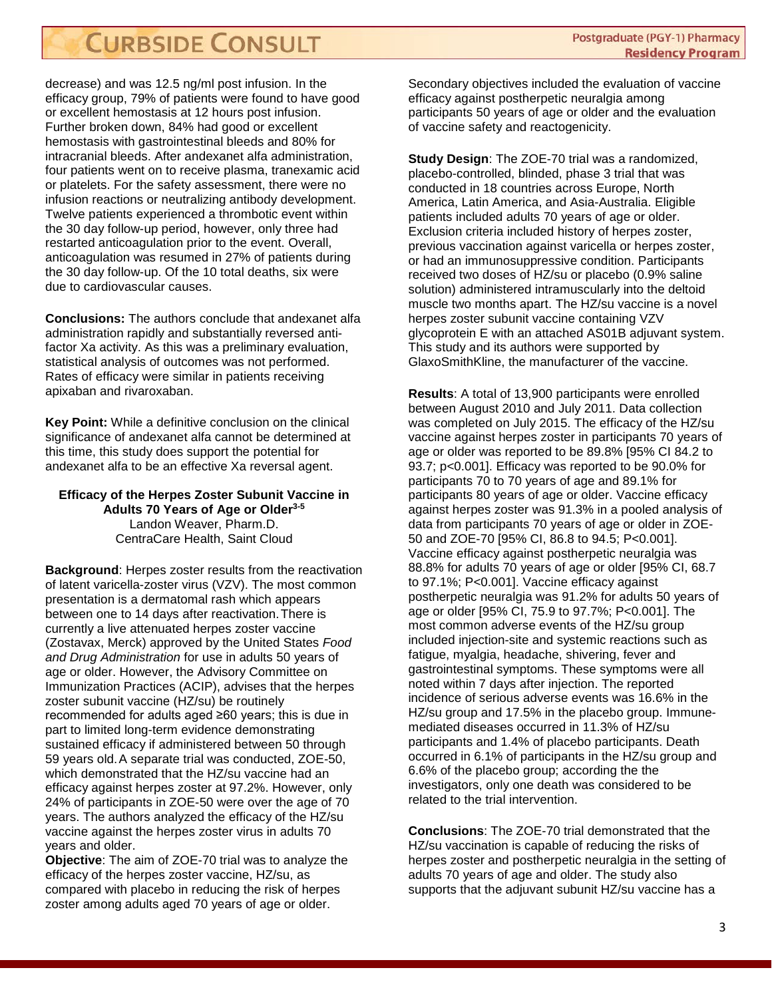decrease) and was 12.5 ng/ml post infusion. In the efficacy group, 79% of patients were found to have good or excellent hemostasis at 12 hours post infusion. Further broken down, 84% had good or excellent hemostasis with gastrointestinal bleeds and 80% for intracranial bleeds. After andexanet alfa administration, four patients went on to receive plasma, tranexamic acid or platelets. For the safety assessment, there were no infusion reactions or neutralizing antibody development. Twelve patients experienced a thrombotic event within the 30 day follow-up period, however, only three had restarted anticoagulation prior to the event. Overall, anticoagulation was resumed in 27% of patients during the 30 day follow-up. Of the 10 total deaths, six were due to cardiovascular causes.

**Conclusions:** The authors conclude that andexanet alfa administration rapidly and substantially reversed antifactor Xa activity. As this was a preliminary evaluation, statistical analysis of outcomes was not performed. Rates of efficacy were similar in patients receiving apixaban and rivaroxaban.

**Key Point:** While a definitive conclusion on the clinical significance of andexanet alfa cannot be determined at this time, this study does support the potential for andexanet alfa to be an effective Xa reversal agent.

#### **Efficacy of the Herpes Zoster Subunit Vaccine in Adults 70 Years of Age or Older3-5** Landon Weaver, Pharm.D. CentraCare Health, Saint Cloud

**Background**: Herpes zoster results from the reactivation of latent varicella-zoster virus (VZV). The most common presentation is a dermatomal rash which appears between one to 14 days after reactivation.There is currently a live attenuated herpes zoster vaccine (Zostavax, Merck) approved by the United States *Food and Drug Administration* for use in adults 50 years of age or older. However, the Advisory Committee on Immunization Practices (ACIP), advises that the herpes zoster subunit vaccine (HZ/su) be routinely recommended for adults aged ≥60 years; this is due in part to limited long-term evidence demonstrating sustained efficacy if administered between 50 through 59 years old.A separate trial was conducted, ZOE-50, which demonstrated that the HZ/su vaccine had an efficacy against herpes zoster at 97.2%. However, only 24% of participants in ZOE-50 were over the age of 70 years. The authors analyzed the efficacy of the HZ/su vaccine against the herpes zoster virus in adults 70 years and older.

**Objective**: The aim of ZOE-70 trial was to analyze the efficacy of the herpes zoster vaccine, HZ/su, as compared with placebo in reducing the risk of herpes zoster among adults aged 70 years of age or older.

Secondary objectives included the evaluation of vaccine efficacy against postherpetic neuralgia among participants 50 years of age or older and the evaluation of vaccine safety and reactogenicity.

**Study Design**: The ZOE-70 trial was a randomized, placebo-controlled, blinded, phase 3 trial that was conducted in 18 countries across Europe, North America, Latin America, and Asia-Australia. Eligible patients included adults 70 years of age or older. Exclusion criteria included history of herpes zoster, previous vaccination against varicella or herpes zoster, or had an immunosuppressive condition. Participants received two doses of HZ/su or placebo (0.9% saline solution) administered intramuscularly into the deltoid muscle two months apart. The HZ/su vaccine is a novel herpes zoster subunit vaccine containing VZV glycoprotein E with an attached AS01B adjuvant system. This study and its authors were supported by GlaxoSmithKline, the manufacturer of the vaccine.

**Results**: A total of 13,900 participants were enrolled between August 2010 and July 2011. Data collection was completed on July 2015. The efficacy of the HZ/su vaccine against herpes zoster in participants 70 years of age or older was reported to be 89.8% [95% CI 84.2 to 93.7; p<0.001]. Efficacy was reported to be 90.0% for participants 70 to 70 years of age and 89.1% for participants 80 years of age or older. Vaccine efficacy against herpes zoster was 91.3% in a pooled analysis of data from participants 70 years of age or older in ZOE-50 and ZOE-70 [95% CI, 86.8 to 94.5; P<0.001]. Vaccine efficacy against postherpetic neuralgia was 88.8% for adults 70 years of age or older [95% CI, 68.7 to 97.1%; P<0.001]. Vaccine efficacy against postherpetic neuralgia was 91.2% for adults 50 years of age or older [95% CI, 75.9 to 97.7%; P<0.001]. The most common adverse events of the HZ/su group included injection-site and systemic reactions such as fatigue, myalgia, headache, shivering, fever and gastrointestinal symptoms. These symptoms were all noted within 7 days after injection. The reported incidence of serious adverse events was 16.6% in the HZ/su group and 17.5% in the placebo group. Immunemediated diseases occurred in 11.3% of HZ/su participants and 1.4% of placebo participants. Death occurred in 6.1% of participants in the HZ/su group and 6.6% of the placebo group; according the the investigators, only one death was considered to be related to the trial intervention.

**Conclusions**: The ZOE-70 trial demonstrated that the HZ/su vaccination is capable of reducing the risks of herpes zoster and postherpetic neuralgia in the setting of adults 70 years of age and older. The study also supports that the adjuvant subunit HZ/su vaccine has a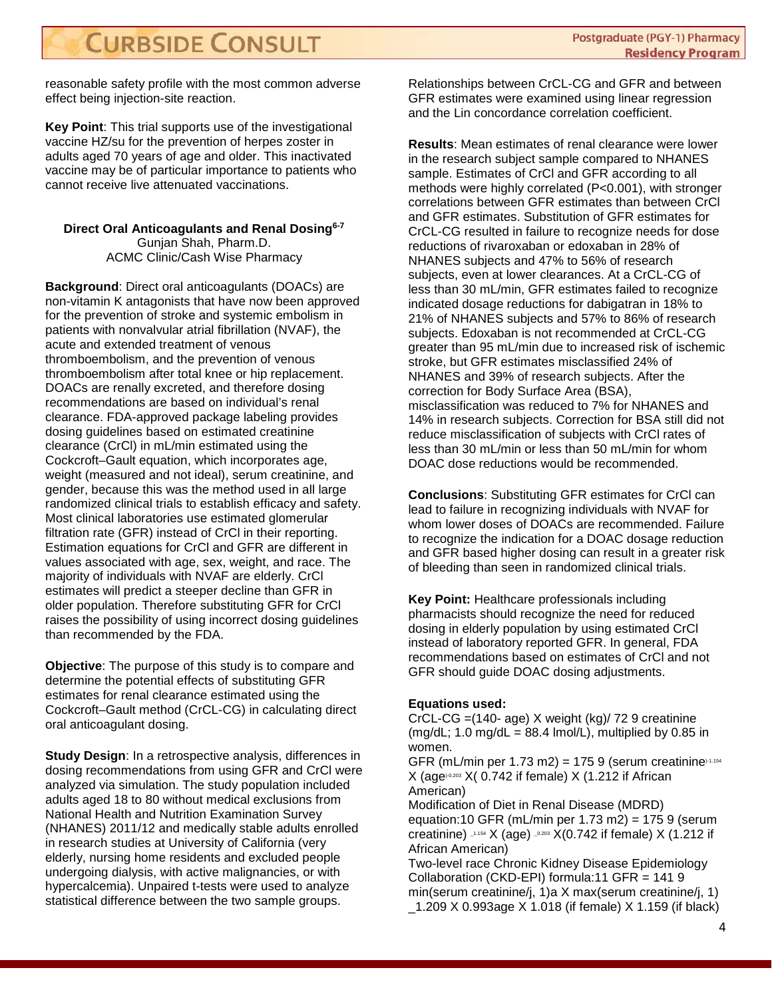reasonable safety profile with the most common adverse effect being injection-site reaction.

**Key Point**: This trial supports use of the investigational vaccine HZ/su for the prevention of herpes zoster in adults aged 70 years of age and older. This inactivated vaccine may be of particular importance to patients who cannot receive live attenuated vaccinations.

#### **Direct Oral Anticoagulants and Renal Dosing6-7** Gunjan Shah, Pharm.D. ACMC Clinic/Cash Wise Pharmacy

**Background**: Direct oral anticoagulants (DOACs) are non-vitamin K antagonists that have now been approved for the prevention of stroke and systemic embolism in patients with nonvalvular atrial fibrillation (NVAF), the acute and extended treatment of venous thromboembolism, and the prevention of venous thromboembolism after total knee or hip replacement. DOACs are renally excreted, and therefore dosing recommendations are based on individual's renal clearance. FDA-approved package labeling provides dosing guidelines based on estimated creatinine clearance (CrCl) in mL/min estimated using the Cockcroft–Gault equation, which incorporates age, weight (measured and not ideal), serum creatinine, and gender, because this was the method used in all large randomized clinical trials to establish efficacy and safety. Most clinical laboratories use estimated glomerular filtration rate (GFR) instead of CrCl in their reporting. Estimation equations for CrCl and GFR are different in values associated with age, sex, weight, and race. The majority of individuals with NVAF are elderly. CrCl estimates will predict a steeper decline than GFR in older population. Therefore substituting GFR for CrCl raises the possibility of using incorrect dosing guidelines than recommended by the FDA.

**Objective**: The purpose of this study is to compare and determine the potential effects of substituting GFR estimates for renal clearance estimated using the Cockcroft–Gault method (CrCL-CG) in calculating direct oral anticoagulant dosing.

**Study Design:** In a retrospective analysis, differences in dosing recommendations from using GFR and CrCl were analyzed via simulation. The study population included adults aged 18 to 80 without medical exclusions from National Health and Nutrition Examination Survey (NHANES) 2011/12 and medically stable adults enrolled in research studies at University of California (very elderly, nursing home residents and excluded people undergoing dialysis, with active malignancies, or with hypercalcemia). Unpaired t-tests were used to analyze statistical difference between the two sample groups.

Relationships between CrCL-CG and GFR and between GFR estimates were examined using linear regression and the Lin concordance correlation coefficient.

**Results**: Mean estimates of renal clearance were lower in the research subject sample compared to NHANES sample. Estimates of CrCl and GFR according to all methods were highly correlated (P<0.001), with stronger correlations between GFR estimates than between CrCl and GFR estimates. Substitution of GFR estimates for CrCL-CG resulted in failure to recognize needs for dose reductions of rivaroxaban or edoxaban in 28% of NHANES subjects and 47% to 56% of research subjects, even at lower clearances. At a CrCL-CG of less than 30 mL/min, GFR estimates failed to recognize indicated dosage reductions for dabigatran in 18% to 21% of NHANES subjects and 57% to 86% of research subjects. Edoxaban is not recommended at CrCL-CG greater than 95 mL/min due to increased risk of ischemic stroke, but GFR estimates misclassified 24% of NHANES and 39% of research subjects. After the correction for Body Surface Area (BSA), misclassification was reduced to 7% for NHANES and 14% in research subjects. Correction for BSA still did not reduce misclassification of subjects with CrCl rates of less than 30 mL/min or less than 50 mL/min for whom DOAC dose reductions would be recommended.

**Conclusions**: Substituting GFR estimates for CrCl can lead to failure in recognizing individuals with NVAF for whom lower doses of DOACs are recommended. Failure to recognize the indication for a DOAC dosage reduction and GFR based higher dosing can result in a greater risk of bleeding than seen in randomized clinical trials.

**Key Point:** Healthcare professionals including pharmacists should recognize the need for reduced dosing in elderly population by using estimated CrCl instead of laboratory reported GFR. In general, FDA recommendations based on estimates of CrCl and not GFR should guide DOAC dosing adjustments.

#### **Equations used:**

CrCL-CG =(140- age) X weight (kg)/ 72 9 creatinine (mg/dL; 1.0 mg/dL =  $88.4$  lmol/L), multiplied by 0.85 in women.

GFR (mL/min per 1.73 m2) = 175 9 (serum creatinine) $-1.154$  $X$  (age $90.203$  X( 0.742 if female) X (1.212 if African American)

Modification of Diet in Renal Disease (MDRD) equation:10 GFR (mL/min per 1.73 m2) =  $1759$  (serum creatinine)  $-1.154$  X (age)  $-0.203$  X(0.742 if female) X (1.212 if African American)

Two-level race Chronic Kidney Disease Epidemiology Collaboration (CKD-EPI) formula:11 GFR = 141 9 min(serum creatinine/j, 1)a X max(serum creatinine/j, 1) \_1.209 X 0.993age X 1.018 (if female) X 1.159 (if black)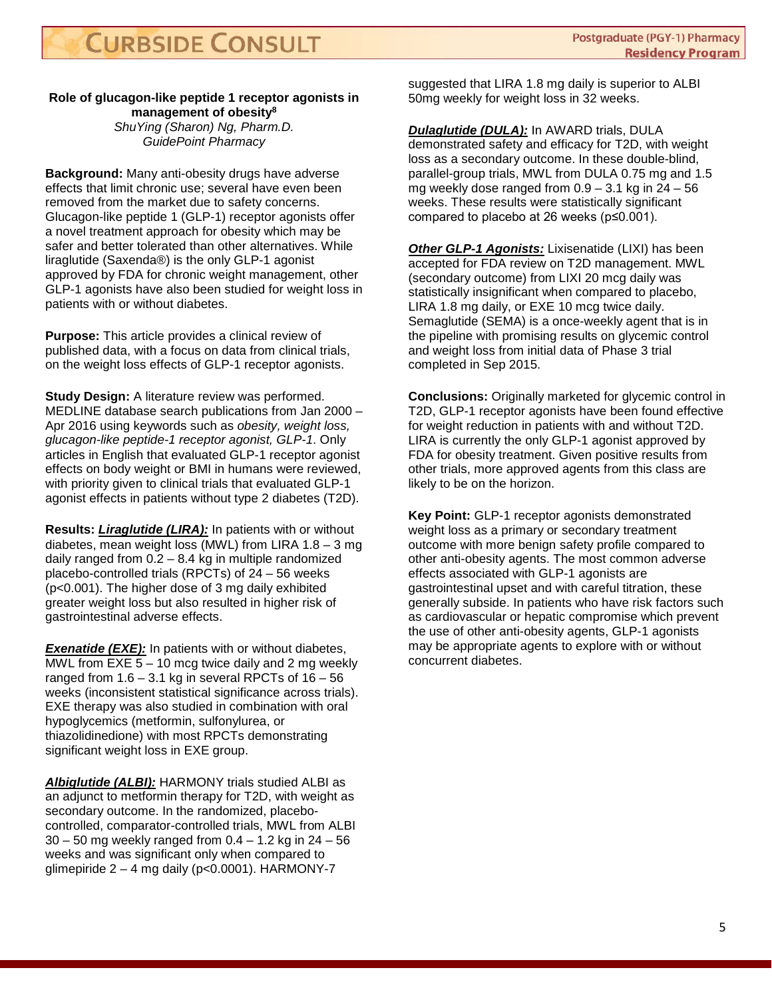#### **Role of glucagon-like peptide 1 receptor agonists in management of obesity8** *ShuYing (Sharon) Ng, Pharm.D. GuidePoint Pharmacy*

**Background:** Many anti-obesity drugs have adverse effects that limit chronic use; several have even been removed from the market due to safety concerns. Glucagon-like peptide 1 (GLP-1) receptor agonists offer a novel treatment approach for obesity which may be safer and better tolerated than other alternatives. While liraglutide (Saxenda®) is the only GLP-1 agonist approved by FDA for chronic weight management, other GLP-1 agonists have also been studied for weight loss in patients with or without diabetes.

**Purpose:** This article provides a clinical review of published data, with a focus on data from clinical trials, on the weight loss effects of GLP-1 receptor agonists.

**Study Design:** A literature review was performed. MEDLINE database search publications from Jan 2000 – Apr 2016 using keywords such as *obesity, weight loss, glucagon-like peptide-1 receptor agonist, GLP-1*. Only articles in English that evaluated GLP-1 receptor agonist effects on body weight or BMI in humans were reviewed, with priority given to clinical trials that evaluated GLP-1 agonist effects in patients without type 2 diabetes (T2D).

**Results:** *Liraglutide (LIRA):* In patients with or without diabetes, mean weight loss (MWL) from LIRA 1.8 – 3 mg daily ranged from 0.2 – 8.4 kg in multiple randomized placebo-controlled trials (RPCTs) of 24 – 56 weeks (p<0.001). The higher dose of 3 mg daily exhibited greater weight loss but also resulted in higher risk of gastrointestinal adverse effects.

**Exenatide (EXE):** In patients with or without diabetes, MWL from EXE 5 – 10 mcg twice daily and 2 mg weekly ranged from  $1.6 - 3.1$  kg in several RPCTs of  $16 - 56$ weeks (inconsistent statistical significance across trials). EXE therapy was also studied in combination with oral hypoglycemics (metformin, sulfonylurea, or thiazolidinedione) with most RPCTs demonstrating significant weight loss in EXE group.

*Albiglutide (ALBI):* HARMONY trials studied ALBI as an adjunct to metformin therapy for T2D, with weight as secondary outcome. In the randomized, placebocontrolled, comparator-controlled trials, MWL from ALBI 30 – 50 mg weekly ranged from 0.4 – 1.2 kg in 24 – 56 weeks and was significant only when compared to glimepiride  $2 - 4$  mg daily (p<0.0001). HARMONY-7

suggested that LIRA 1.8 mg daily is superior to ALBI 50mg weekly for weight loss in 32 weeks.

*Dulaglutide (DULA):* In AWARD trials, DULA demonstrated safety and efficacy for T2D, with weight loss as a secondary outcome. In these double-blind, parallel-group trials, MWL from DULA 0.75 mg and 1.5 mg weekly dose ranged from  $0.9 - 3.1$  kg in  $24 - 56$ weeks. These results were statistically significant compared to placebo at 26 weeks (p≤0.001).

*Other GLP-1 Agonists:* Lixisenatide (LIXI) has been accepted for FDA review on T2D management. MWL (secondary outcome) from LIXI 20 mcg daily was statistically insignificant when compared to placebo, LIRA 1.8 mg daily, or EXE 10 mcg twice daily. Semaglutide (SEMA) is a once-weekly agent that is in the pipeline with promising results on glycemic control and weight loss from initial data of Phase 3 trial completed in Sep 2015.

**Conclusions:** Originally marketed for glycemic control in T2D, GLP-1 receptor agonists have been found effective for weight reduction in patients with and without T2D. LIRA is currently the only GLP-1 agonist approved by FDA for obesity treatment. Given positive results from other trials, more approved agents from this class are likely to be on the horizon.

**Key Point:** GLP-1 receptor agonists demonstrated weight loss as a primary or secondary treatment outcome with more benign safety profile compared to other anti-obesity agents. The most common adverse effects associated with GLP-1 agonists are gastrointestinal upset and with careful titration, these generally subside. In patients who have risk factors such as cardiovascular or hepatic compromise which prevent the use of other anti-obesity agents, GLP-1 agonists may be appropriate agents to explore with or without concurrent diabetes.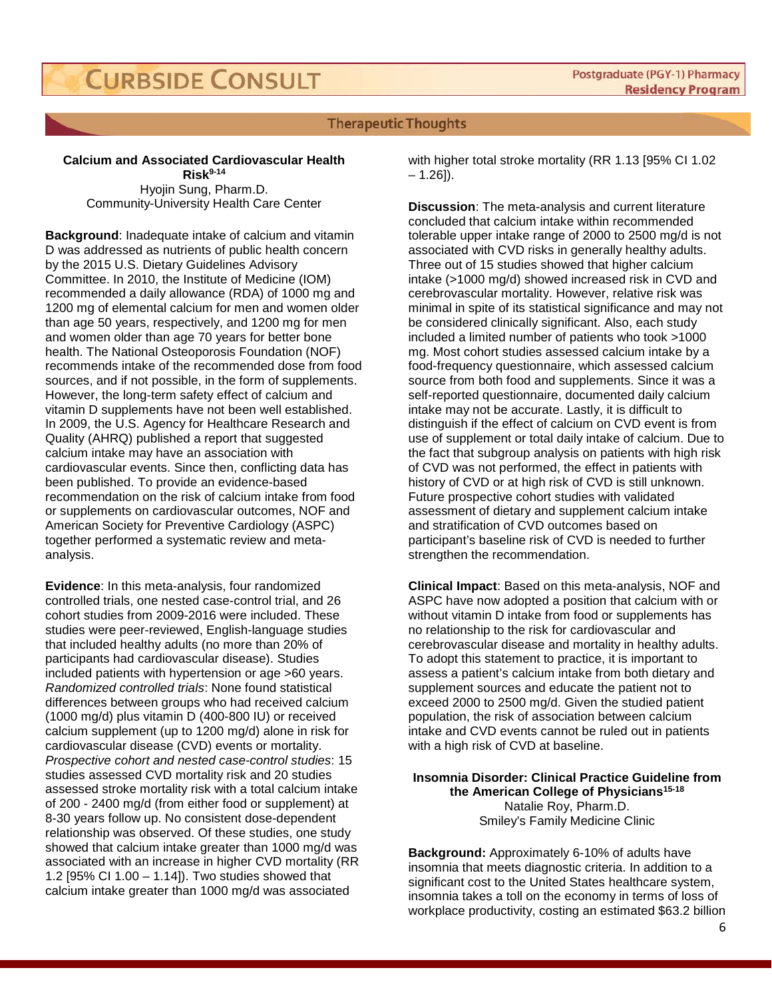#### **Therapeutic Thoughts**

#### **Calcium and Associated Cardiovascular Health Risk9-14**

Hyojin Sung, Pharm.D. Community-University Health Care Center

**Background**: Inadequate intake of calcium and vitamin D was addressed as nutrients of public health concern by the 2015 U.S. Dietary Guidelines Advisory Committee. In 2010, the Institute of Medicine (IOM) recommended a daily allowance (RDA) of 1000 mg and 1200 mg of elemental calcium for men and women older than age 50 years, respectively, and 1200 mg for men and women older than age 70 years for better bone health. The National Osteoporosis Foundation (NOF) recommends intake of the recommended dose from food sources, and if not possible, in the form of supplements. However, the long-term safety effect of calcium and vitamin D supplements have not been well established. In 2009, the U.S. Agency for Healthcare Research and Quality (AHRQ) published a report that suggested calcium intake may have an association with cardiovascular events. Since then, conflicting data has been published. To provide an evidence-based recommendation on the risk of calcium intake from food or supplements on cardiovascular outcomes, NOF and American Society for Preventive Cardiology (ASPC) together performed a systematic review and metaanalysis.

**Evidence**: In this meta-analysis, four randomized controlled trials, one nested case-control trial, and 26 cohort studies from 2009-2016 were included. These studies were peer-reviewed, English-language studies that included healthy adults (no more than 20% of participants had cardiovascular disease). Studies included patients with hypertension or age >60 years. *Randomized controlled trials*: None found statistical differences between groups who had received calcium (1000 mg/d) plus vitamin D (400-800 IU) or received calcium supplement (up to 1200 mg/d) alone in risk for cardiovascular disease (CVD) events or mortality. *Prospective cohort and nested case-control studies*: 15 studies assessed CVD mortality risk and 20 studies assessed stroke mortality risk with a total calcium intake of 200 - 2400 mg/d (from either food or supplement) at 8-30 years follow up. No consistent dose-dependent relationship was observed. Of these studies, one study showed that calcium intake greater than 1000 mg/d was associated with an increase in higher CVD mortality (RR 1.2 [95% CI 1.00 – 1.14]). Two studies showed that calcium intake greater than 1000 mg/d was associated

with higher total stroke mortality (RR 1.13 [95% CI 1.02  $- 1.26$ ]).

**Discussion**: The meta-analysis and current literature concluded that calcium intake within recommended tolerable upper intake range of 2000 to 2500 mg/d is not associated with CVD risks in generally healthy adults. Three out of 15 studies showed that higher calcium intake (>1000 mg/d) showed increased risk in CVD and cerebrovascular mortality. However, relative risk was minimal in spite of its statistical significance and may not be considered clinically significant. Also, each study included a limited number of patients who took >1000 mg. Most cohort studies assessed calcium intake by a food-frequency questionnaire, which assessed calcium source from both food and supplements. Since it was a self-reported questionnaire, documented daily calcium intake may not be accurate. Lastly, it is difficult to distinguish if the effect of calcium on CVD event is from use of supplement or total daily intake of calcium. Due to the fact that subgroup analysis on patients with high risk of CVD was not performed, the effect in patients with history of CVD or at high risk of CVD is still unknown. Future prospective cohort studies with validated assessment of dietary and supplement calcium intake and stratification of CVD outcomes based on participant's baseline risk of CVD is needed to further strengthen the recommendation.

**Clinical Impact**: Based on this meta-analysis, NOF and ASPC have now adopted a position that calcium with or without vitamin D intake from food or supplements has no relationship to the risk for cardiovascular and cerebrovascular disease and mortality in healthy adults. To adopt this statement to practice, it is important to assess a patient's calcium intake from both dietary and supplement sources and educate the patient not to exceed 2000 to 2500 mg/d. Given the studied patient population, the risk of association between calcium intake and CVD events cannot be ruled out in patients with a high risk of CVD at baseline.

**Insomnia Disorder: Clinical Practice Guideline from the American College of Physicians15-18** Natalie Roy, Pharm.D. Smiley's Family Medicine Clinic

**Background:** Approximately 6-10% of adults have insomnia that meets diagnostic criteria. In addition to a significant cost to the United States healthcare system, insomnia takes a toll on the economy in terms of loss of workplace productivity, costing an estimated \$63.2 billion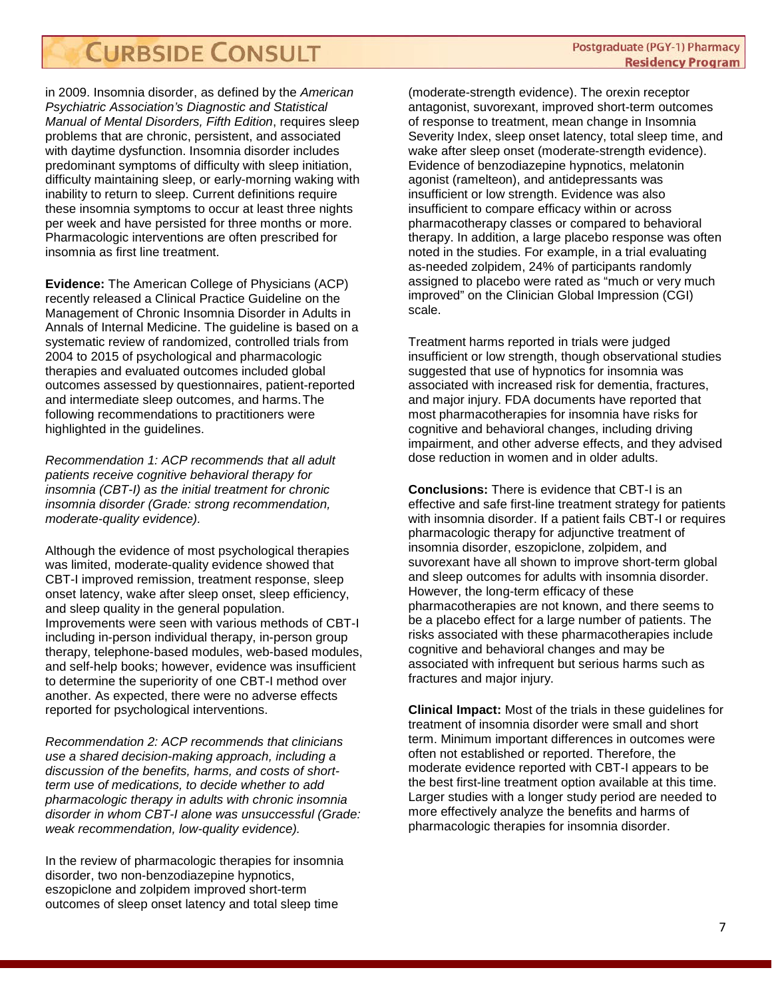in 2009. Insomnia disorder, as defined by the *American Psychiatric Association's Diagnostic and Statistical Manual of Mental Disorders, Fifth Edition*, requires sleep problems that are chronic, persistent, and associated with daytime dysfunction. Insomnia disorder includes predominant symptoms of difficulty with sleep initiation, difficulty maintaining sleep, or early-morning waking with inability to return to sleep. Current definitions require these insomnia symptoms to occur at least three nights per week and have persisted for three months or more. Pharmacologic interventions are often prescribed for insomnia as first line treatment.

**Evidence:** The American College of Physicians (ACP) recently released a Clinical Practice Guideline on the Management of Chronic Insomnia Disorder in Adults in Annals of Internal Medicine. The guideline is based on a systematic review of randomized, controlled trials from 2004 to 2015 of psychological and pharmacologic therapies and evaluated outcomes included global outcomes assessed by questionnaires, patient-reported and intermediate sleep outcomes, and harms.The following recommendations to practitioners were highlighted in the guidelines.

*Recommendation 1: ACP recommends that all adult patients receive cognitive behavioral therapy for insomnia (CBT-I) as the initial treatment for chronic insomnia disorder (Grade: strong recommendation, moderate-quality evidence).*

Although the evidence of most psychological therapies was limited, moderate-quality evidence showed that CBT-I improved remission, treatment response, sleep onset latency, wake after sleep onset, sleep efficiency, and sleep quality in the general population. Improvements were seen with various methods of CBT-I including in-person individual therapy, in-person group therapy, telephone-based modules, web-based modules, and self-help books; however, evidence was insufficient to determine the superiority of one CBT-I method over another. As expected, there were no adverse effects reported for psychological interventions.

*Recommendation 2: ACP recommends that clinicians use a shared decision-making approach, including a discussion of the benefits, harms, and costs of shortterm use of medications, to decide whether to add pharmacologic therapy in adults with chronic insomnia disorder in whom CBT-I alone was unsuccessful (Grade: weak recommendation, low-quality evidence).*

In the review of pharmacologic therapies for insomnia disorder, two non-benzodiazepine hypnotics, eszopiclone and zolpidem improved short-term outcomes of sleep onset latency and total sleep time

(moderate-strength evidence). The orexin receptor antagonist, suvorexant, improved short-term outcomes of response to treatment, mean change in Insomnia Severity Index, sleep onset latency, total sleep time, and wake after sleep onset (moderate-strength evidence). Evidence of benzodiazepine hypnotics, melatonin agonist (ramelteon), and antidepressants was insufficient or low strength. Evidence was also insufficient to compare efficacy within or across pharmacotherapy classes or compared to behavioral therapy. In addition, a large placebo response was often noted in the studies. For example, in a trial evaluating as-needed zolpidem, 24% of participants randomly assigned to placebo were rated as "much or very much improved" on the Clinician Global Impression (CGI) scale.

Treatment harms reported in trials were judged insufficient or low strength, though observational studies suggested that use of hypnotics for insomnia was associated with increased risk for dementia, fractures, and major injury. FDA documents have reported that most pharmacotherapies for insomnia have risks for cognitive and behavioral changes, including driving impairment, and other adverse effects, and they advised dose reduction in women and in older adults.

**Conclusions:** There is evidence that CBT-I is an effective and safe first-line treatment strategy for patients with insomnia disorder. If a patient fails CBT-I or requires pharmacologic therapy for adjunctive treatment of insomnia disorder, eszopiclone, zolpidem, and suvorexant have all shown to improve short-term global and sleep outcomes for adults with insomnia disorder. However, the long-term efficacy of these pharmacotherapies are not known, and there seems to be a placebo effect for a large number of patients. The risks associated with these pharmacotherapies include cognitive and behavioral changes and may be associated with infrequent but serious harms such as fractures and major injury.

**Clinical Impact:** Most of the trials in these guidelines for treatment of insomnia disorder were small and short term. Minimum important differences in outcomes were often not established or reported. Therefore, the moderate evidence reported with CBT-I appears to be the best first-line treatment option available at this time. Larger studies with a longer study period are needed to more effectively analyze the benefits and harms of pharmacologic therapies for insomnia disorder.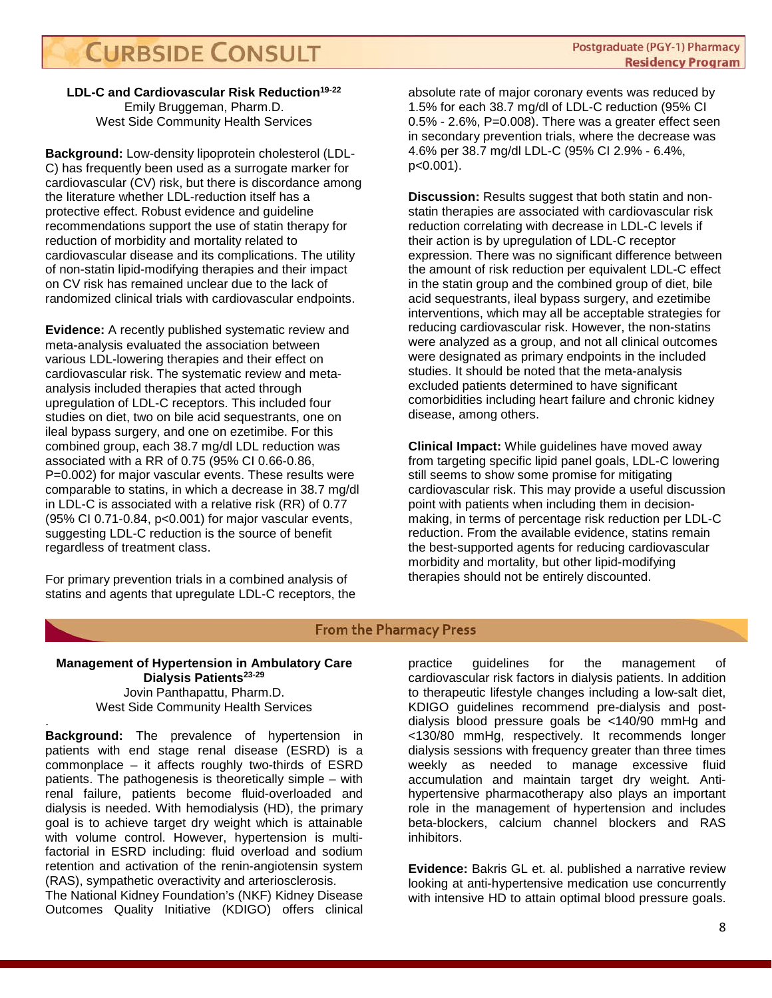**LDL-C and Cardiovascular Risk Reduction19-22** Emily Bruggeman, Pharm.D. West Side Community Health Services

**Background:** Low-density lipoprotein cholesterol (LDL-C) has frequently been used as a surrogate marker for cardiovascular (CV) risk, but there is discordance among the literature whether LDL-reduction itself has a protective effect. Robust evidence and guideline recommendations support the use of statin therapy for reduction of morbidity and mortality related to cardiovascular disease and its complications. The utility of non-statin lipid-modifying therapies and their impact on CV risk has remained unclear due to the lack of randomized clinical trials with cardiovascular endpoints.

**Evidence:** A recently published systematic review and meta-analysis evaluated the association between various LDL-lowering therapies and their effect on cardiovascular risk. The systematic review and metaanalysis included therapies that acted through upregulation of LDL-C receptors. This included four studies on diet, two on bile acid sequestrants, one on ileal bypass surgery, and one on ezetimibe. For this combined group, each 38.7 mg/dl LDL reduction was associated with a RR of 0.75 (95% CI 0.66-0.86, P=0.002) for major vascular events. These results were comparable to statins, in which a decrease in 38.7 mg/dl in LDL-C is associated with a relative risk (RR) of 0.77 (95% CI 0.71-0.84, p<0.001) for major vascular events, suggesting LDL-C reduction is the source of benefit regardless of treatment class.

For primary prevention trials in a combined analysis of statins and agents that upregulate LDL-C receptors, the

absolute rate of major coronary events was reduced by 1.5% for each 38.7 mg/dl of LDL-C reduction (95% CI 0.5% - 2.6%, P=0.008). There was a greater effect seen in secondary prevention trials, where the decrease was 4.6% per 38.7 mg/dl LDL-C (95% CI 2.9% - 6.4%, p<0.001).

**Discussion:** Results suggest that both statin and nonstatin therapies are associated with cardiovascular risk reduction correlating with decrease in LDL-C levels if their action is by upregulation of LDL-C receptor expression. There was no significant difference between the amount of risk reduction per equivalent LDL-C effect in the statin group and the combined group of diet, bile acid sequestrants, ileal bypass surgery, and ezetimibe interventions, which may all be acceptable strategies for reducing cardiovascular risk. However, the non-statins were analyzed as a group, and not all clinical outcomes were designated as primary endpoints in the included studies. It should be noted that the meta-analysis excluded patients determined to have significant comorbidities including heart failure and chronic kidney disease, among others.

**Clinical Impact:** While guidelines have moved away from targeting specific lipid panel goals, LDL-C lowering still seems to show some promise for mitigating cardiovascular risk. This may provide a useful discussion point with patients when including them in decisionmaking, in terms of percentage risk reduction per LDL-C reduction. From the available evidence, statins remain the best-supported agents for reducing cardiovascular morbidity and mortality, but other lipid-modifying therapies should not be entirely discounted.

#### **From the Pharmacy Press**

#### **Management of Hypertension in Ambulatory Care Dialysis Patients**<sup>23-29</sup> Jovin Panthapattu, Pharm.D. West Side Community Health Services

. **Background:** The prevalence of hypertension in patients with end stage renal disease (ESRD) is a commonplace – it affects roughly two-thirds of ESRD patients. The pathogenesis is theoretically simple – with renal failure, patients become fluid-overloaded and dialysis is needed. With hemodialysis (HD), the primary goal is to achieve target dry weight which is attainable with volume control. However, hypertension is multifactorial in ESRD including: fluid overload and sodium retention and activation of the renin-angiotensin system (RAS), sympathetic overactivity and arteriosclerosis.

The National Kidney Foundation's (NKF) Kidney Disease Outcomes Quality Initiative (KDIGO) offers clinical

practice guidelines for the management of cardiovascular risk factors in dialysis patients. In addition to therapeutic lifestyle changes including a low-salt diet, KDIGO guidelines recommend pre-dialysis and postdialysis blood pressure goals be <140/90 mmHg and <130/80 mmHg, respectively. It recommends longer dialysis sessions with frequency greater than three times weekly as needed to manage excessive fluid accumulation and maintain target dry weight. Antihypertensive pharmacotherapy also plays an important role in the management of hypertension and includes beta-blockers, calcium channel blockers and RAS inhibitors.

**Evidence:** Bakris GL et. al. published a narrative review looking at anti-hypertensive medication use concurrently with intensive HD to attain optimal blood pressure goals.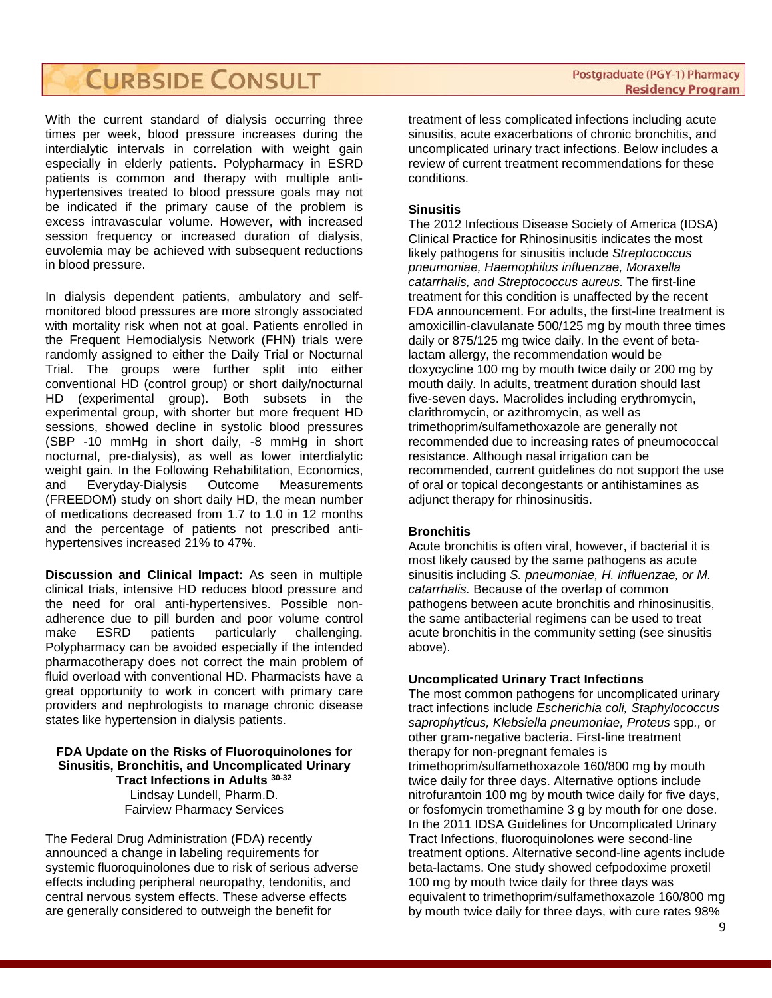With the current standard of dialysis occurring three times per week, blood pressure increases during the interdialytic intervals in correlation with weight gain especially in elderly patients. Polypharmacy in ESRD patients is common and therapy with multiple antihypertensives treated to blood pressure goals may not be indicated if the primary cause of the problem is excess intravascular volume. However, with increased session frequency or increased duration of dialysis, euvolemia may be achieved with subsequent reductions in blood pressure.

In dialysis dependent patients, ambulatory and selfmonitored blood pressures are more strongly associated with mortality risk when not at goal. Patients enrolled in the Frequent Hemodialysis Network (FHN) trials were randomly assigned to either the Daily Trial or Nocturnal Trial. The groups were further split into either conventional HD (control group) or short daily/nocturnal HD (experimental group). Both subsets in the experimental group, with shorter but more frequent HD sessions, showed decline in systolic blood pressures (SBP -10 mmHg in short daily, -8 mmHg in short nocturnal, pre-dialysis), as well as lower interdialytic weight gain. In the Following Rehabilitation, Economics, and Everyday-Dialysis Outcome Measurements (FREEDOM) study on short daily HD, the mean number of medications decreased from 1.7 to 1.0 in 12 months and the percentage of patients not prescribed antihypertensives increased 21% to 47%.

**Discussion and Clinical Impact:** As seen in multiple clinical trials, intensive HD reduces blood pressure and the need for oral anti-hypertensives. Possible nonadherence due to pill burden and poor volume control<br>make ESRD patients particularly challenging. make ESRD patients particularly challenging. Polypharmacy can be avoided especially if the intended pharmacotherapy does not correct the main problem of fluid overload with conventional HD. Pharmacists have a great opportunity to work in concert with primary care providers and nephrologists to manage chronic disease states like hypertension in dialysis patients.

**FDA Update on the Risks of Fluoroquinolones for Sinusitis, Bronchitis, and Uncomplicated Urinary Tract Infections in Adults 30-32** Lindsay Lundell, Pharm.D. Fairview Pharmacy Services

The Federal Drug Administration (FDA) recently announced a change in labeling requirements for systemic fluoroquinolones due to risk of serious adverse effects including peripheral neuropathy, tendonitis, and central nervous system effects. These adverse effects are generally considered to outweigh the benefit for

treatment of less complicated infections including acute sinusitis, acute exacerbations of chronic bronchitis, and uncomplicated urinary tract infections. Below includes a review of current treatment recommendations for these conditions.

#### **Sinusitis**

The 2012 Infectious Disease Society of America (IDSA) Clinical Practice for Rhinosinusitis indicates the most likely pathogens for sinusitis include *Streptococcus pneumoniae, Haemophilus influenzae, Moraxella catarrhalis, and Streptococcus aureus.* The first-line treatment for this condition is unaffected by the recent FDA announcement. For adults, the first-line treatment is amoxicillin-clavulanate 500/125 mg by mouth three times daily or 875/125 mg twice daily. In the event of betalactam allergy, the recommendation would be doxycycline 100 mg by mouth twice daily or 200 mg by mouth daily. In adults, treatment duration should last five-seven days. Macrolides including erythromycin, clarithromycin, or azithromycin, as well as trimethoprim/sulfamethoxazole are generally not recommended due to increasing rates of pneumococcal resistance. Although nasal irrigation can be recommended, current guidelines do not support the use of oral or topical decongestants or antihistamines as adjunct therapy for rhinosinusitis.

#### **Bronchitis**

Acute bronchitis is often viral, however, if bacterial it is most likely caused by the same pathogens as acute sinusitis including *S. pneumoniae, H. influenzae, or M. catarrhalis.* Because of the overlap of common pathogens between acute bronchitis and rhinosinusitis, the same antibacterial regimens can be used to treat acute bronchitis in the community setting (see sinusitis above).

#### **Uncomplicated Urinary Tract Infections**

The most common pathogens for uncomplicated urinary tract infections include *Escherichia coli, Staphylococcus saprophyticus, Klebsiella pneumoniae, Proteus* spp*.,* or other gram-negative bacteria. First-line treatment therapy for non-pregnant females is trimethoprim/sulfamethoxazole 160/800 mg by mouth twice daily for three days. Alternative options include nitrofurantoin 100 mg by mouth twice daily for five days, or fosfomycin tromethamine 3 g by mouth for one dose. In the 2011 IDSA Guidelines for Uncomplicated Urinary Tract Infections, fluoroquinolones were second-line treatment options. Alternative second-line agents include beta-lactams. One study showed cefpodoxime proxetil 100 mg by mouth twice daily for three days was equivalent to trimethoprim/sulfamethoxazole 160/800 mg by mouth twice daily for three days, with cure rates 98%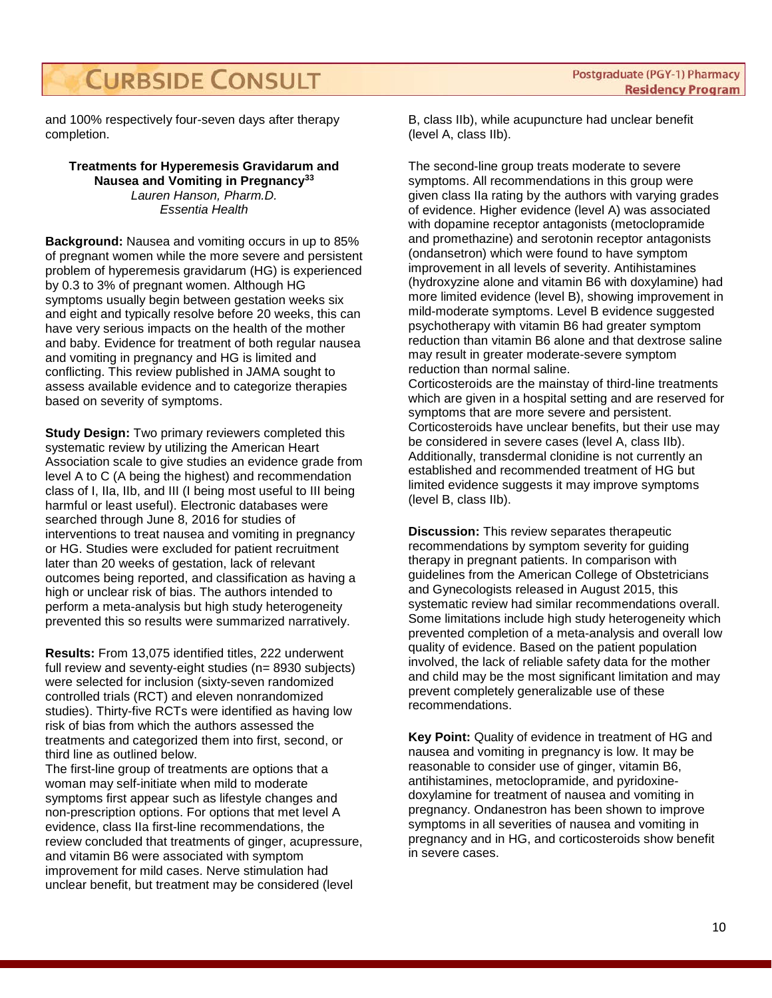and 100% respectively four-seven days after therapy completion.

#### **Treatments for Hyperemesis Gravidarum and Nausea and Vomiting in Pregnancy33** *Lauren Hanson, Pharm.D. Essentia Health*

**Background:** Nausea and vomiting occurs in up to 85% of pregnant women while the more severe and persistent problem of hyperemesis gravidarum (HG) is experienced by 0.3 to 3% of pregnant women. Although HG symptoms usually begin between gestation weeks six and eight and typically resolve before 20 weeks, this can have very serious impacts on the health of the mother and baby. Evidence for treatment of both regular nausea and vomiting in pregnancy and HG is limited and conflicting. This review published in JAMA sought to assess available evidence and to categorize therapies based on severity of symptoms.

**Study Design:** Two primary reviewers completed this systematic review by utilizing the American Heart Association scale to give studies an evidence grade from level A to C (A being the highest) and recommendation class of I, IIa, IIb, and III (I being most useful to III being harmful or least useful). Electronic databases were searched through June 8, 2016 for studies of interventions to treat nausea and vomiting in pregnancy or HG. Studies were excluded for patient recruitment later than 20 weeks of gestation, lack of relevant outcomes being reported, and classification as having a high or unclear risk of bias. The authors intended to perform a meta-analysis but high study heterogeneity prevented this so results were summarized narratively.

**Results:** From 13,075 identified titles, 222 underwent full review and seventy-eight studies (n= 8930 subjects) were selected for inclusion (sixty-seven randomized controlled trials (RCT) and eleven nonrandomized studies). Thirty-five RCTs were identified as having low risk of bias from which the authors assessed the treatments and categorized them into first, second, or third line as outlined below.

The first-line group of treatments are options that a woman may self-initiate when mild to moderate symptoms first appear such as lifestyle changes and non-prescription options. For options that met level A evidence, class IIa first-line recommendations, the review concluded that treatments of ginger, acupressure, and vitamin B6 were associated with symptom improvement for mild cases. Nerve stimulation had unclear benefit, but treatment may be considered (level

B, class IIb), while acupuncture had unclear benefit (level A, class IIb).

The second-line group treats moderate to severe symptoms. All recommendations in this group were given class IIa rating by the authors with varying grades of evidence. Higher evidence (level A) was associated with dopamine receptor antagonists (metoclopramide and promethazine) and serotonin receptor antagonists (ondansetron) which were found to have symptom improvement in all levels of severity. Antihistamines (hydroxyzine alone and vitamin B6 with doxylamine) had more limited evidence (level B), showing improvement in mild-moderate symptoms. Level B evidence suggested psychotherapy with vitamin B6 had greater symptom reduction than vitamin B6 alone and that dextrose saline may result in greater moderate-severe symptom reduction than normal saline.

Corticosteroids are the mainstay of third-line treatments which are given in a hospital setting and are reserved for symptoms that are more severe and persistent. Corticosteroids have unclear benefits, but their use may be considered in severe cases (level A, class IIb). Additionally, transdermal clonidine is not currently an established and recommended treatment of HG but limited evidence suggests it may improve symptoms (level B, class IIb).

**Discussion:** This review separates therapeutic recommendations by symptom severity for guiding therapy in pregnant patients. In comparison with guidelines from the American College of Obstetricians and Gynecologists released in August 2015, this systematic review had similar recommendations overall. Some limitations include high study heterogeneity which prevented completion of a meta-analysis and overall low quality of evidence. Based on the patient population involved, the lack of reliable safety data for the mother and child may be the most significant limitation and may prevent completely generalizable use of these recommendations.

**Key Point:** Quality of evidence in treatment of HG and nausea and vomiting in pregnancy is low. It may be reasonable to consider use of ginger, vitamin B6, antihistamines, metoclopramide, and pyridoxinedoxylamine for treatment of nausea and vomiting in pregnancy. Ondanestron has been shown to improve symptoms in all severities of nausea and vomiting in pregnancy and in HG, and corticosteroids show benefit in severe cases.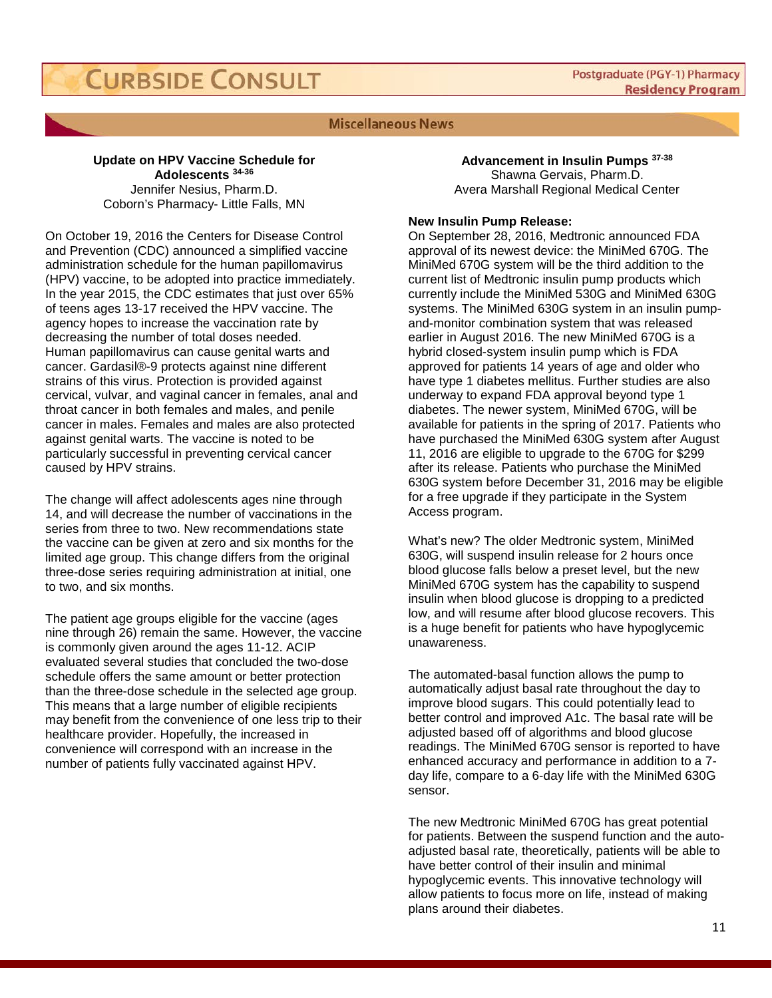#### **Miscellaneous News**

#### **Update on HPV Vaccine Schedule for Adolescents 34-36** Jennifer Nesius, Pharm.D. Coborn's Pharmacy- Little Falls, MN

On October 19, 2016 the Centers for Disease Control and Prevention (CDC) announced a simplified vaccine administration schedule for the human papillomavirus (HPV) vaccine, to be adopted into practice immediately. In the year 2015, the CDC estimates that just over 65% of teens ages 13-17 received the HPV vaccine. The agency hopes to increase the vaccination rate by decreasing the number of total doses needed. Human papillomavirus can cause genital warts and cancer. Gardasil®-9 protects against nine different strains of this virus. Protection is provided against cervical, vulvar, and vaginal cancer in females, anal and throat cancer in both females and males, and penile cancer in males. Females and males are also protected against genital warts. The vaccine is noted to be particularly successful in preventing cervical cancer caused by HPV strains.

The change will affect adolescents ages nine through 14, and will decrease the number of vaccinations in the series from three to two. New recommendations state the vaccine can be given at zero and six months for the limited age group. This change differs from the original three-dose series requiring administration at initial, one to two, and six months.

The patient age groups eligible for the vaccine (ages nine through 26) remain the same. However, the vaccine is commonly given around the ages 11-12. ACIP evaluated several studies that concluded the two-dose schedule offers the same amount or better protection than the three-dose schedule in the selected age group. This means that a large number of eligible recipients may benefit from the convenience of one less trip to their healthcare provider. Hopefully, the increased in convenience will correspond with an increase in the number of patients fully vaccinated against HPV.

**Advancement in Insulin Pumps 37-38** Shawna Gervais, Pharm.D. Avera Marshall Regional Medical Center

#### **New Insulin Pump Release:**

On September 28, 2016, Medtronic announced FDA approval of its newest device: the MiniMed 670G. The MiniMed 670G system will be the third addition to the current list of Medtronic insulin pump products which currently include the MiniMed 530G and MiniMed 630G systems. The MiniMed 630G system in an insulin pumpand-monitor combination system that was released earlier in August 2016. The new MiniMed 670G is a hybrid closed-system insulin pump which is FDA approved for patients 14 years of age and older who have type 1 diabetes mellitus. Further studies are also underway to expand FDA approval beyond type 1 diabetes. The newer system, MiniMed 670G, will be available for patients in the spring of 2017. Patients who have purchased the MiniMed 630G system after August 11, 2016 are eligible to upgrade to the 670G for \$299 after its release. Patients who purchase the MiniMed 630G system before December 31, 2016 may be eligible for a free upgrade if they participate in the System Access program.

What's new? The older Medtronic system, MiniMed 630G, will suspend insulin release for 2 hours once blood glucose falls below a preset level, but the new MiniMed 670G system has the capability to suspend insulin when blood glucose is dropping to a predicted low, and will resume after blood glucose recovers. This is a huge benefit for patients who have hypoglycemic unawareness.

The automated-basal function allows the pump to automatically adjust basal rate throughout the day to improve blood sugars. This could potentially lead to better control and improved A1c. The basal rate will be adjusted based off of algorithms and blood glucose readings. The MiniMed 670G sensor is reported to have enhanced accuracy and performance in addition to a 7 day life, compare to a 6-day life with the MiniMed 630G sensor.

The new Medtronic MiniMed 670G has great potential for patients. Between the suspend function and the autoadjusted basal rate, theoretically, patients will be able to have better control of their insulin and minimal hypoglycemic events. This innovative technology will allow patients to focus more on life, instead of making plans around their diabetes.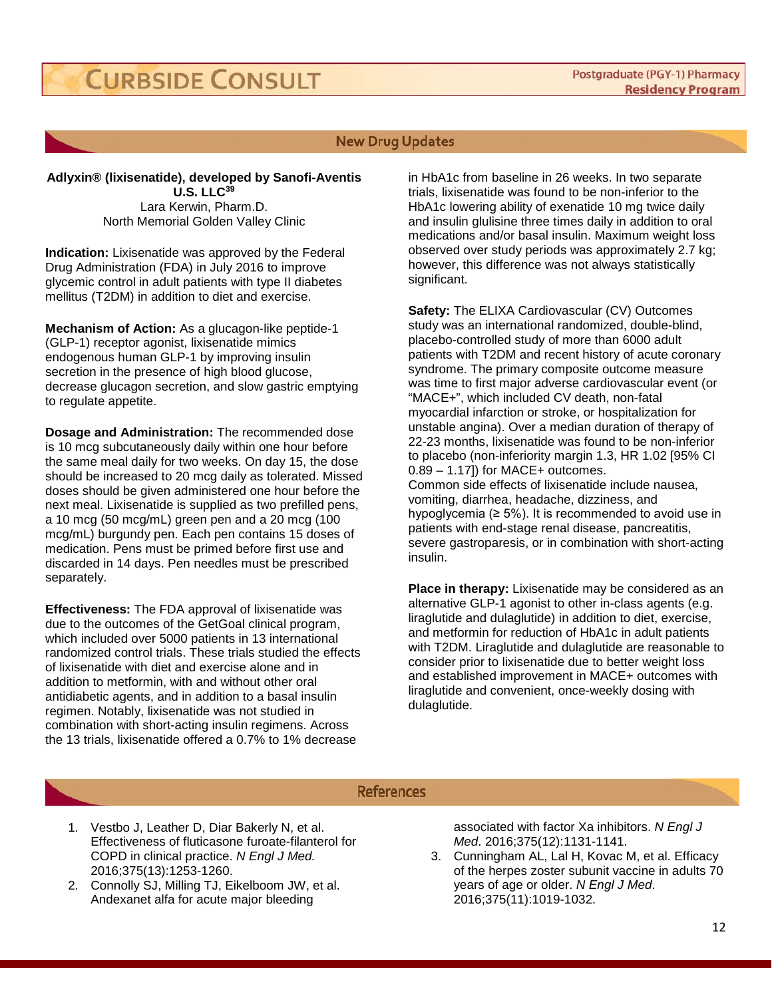#### **New Drug Updates**

**Adlyxin® (lixisenatide), developed by Sanofi-Aventis U.S. LLC<sup>39</sup>** Lara Kerwin, Pharm.D. North Memorial Golden Valley Clinic

**Indication:** Lixisenatide was approved by the Federal Drug Administration (FDA) in July 2016 to improve glycemic control in adult patients with type II diabetes mellitus (T2DM) in addition to diet and exercise.

**Mechanism of Action:** As a glucagon-like peptide-1 (GLP-1) receptor agonist, lixisenatide mimics endogenous human GLP-1 by improving insulin secretion in the presence of high blood glucose, decrease glucagon secretion, and slow gastric emptying to regulate appetite.

**Dosage and Administration:** The recommended dose is 10 mcg subcutaneously daily within one hour before the same meal daily for two weeks. On day 15, the dose should be increased to 20 mcg daily as tolerated. Missed doses should be given administered one hour before the next meal. Lixisenatide is supplied as two prefilled pens, a 10 mcg (50 mcg/mL) green pen and a 20 mcg (100 mcg/mL) burgundy pen. Each pen contains 15 doses of medication. Pens must be primed before first use and discarded in 14 days. Pen needles must be prescribed separately.

**Effectiveness:** The FDA approval of lixisenatide was due to the outcomes of the GetGoal clinical program, which included over 5000 patients in 13 international randomized control trials. These trials studied the effects of lixisenatide with diet and exercise alone and in addition to metformin, with and without other oral antidiabetic agents, and in addition to a basal insulin regimen. Notably, lixisenatide was not studied in combination with short-acting insulin regimens. Across the 13 trials, lixisenatide offered a 0.7% to 1% decrease

in HbA1c from baseline in 26 weeks. In two separate trials, lixisenatide was found to be non-inferior to the HbA1c lowering ability of exenatide 10 mg twice daily and insulin glulisine three times daily in addition to oral medications and/or basal insulin. Maximum weight loss observed over study periods was approximately 2.7 kg; however, this difference was not always statistically significant.

**Safety:** The ELIXA Cardiovascular (CV) Outcomes study was an international randomized, double-blind, placebo-controlled study of more than 6000 adult patients with T2DM and recent history of acute coronary syndrome. The primary composite outcome measure was time to first major adverse cardiovascular event (or "MACE+", which included CV death, non-fatal myocardial infarction or stroke, or hospitalization for unstable angina). Over a median duration of therapy of 22-23 months, lixisenatide was found to be non-inferior to placebo (non-inferiority margin 1.3, HR 1.02 [95% CI  $0.89 - 1.17$ ]) for MACE+ outcomes.

Common side effects of lixisenatide include nausea, vomiting, diarrhea, headache, dizziness, and hypoglycemia ( $\geq 5\%$ ). It is recommended to avoid use in patients with end-stage renal disease, pancreatitis, severe gastroparesis, or in combination with short-acting insulin.

**Place in therapy:** Lixisenatide may be considered as an alternative GLP-1 agonist to other in-class agents (e.g. liraglutide and dulaglutide) in addition to diet, exercise, and metformin for reduction of HbA1c in adult patients with T2DM. Liraglutide and dulaglutide are reasonable to consider prior to lixisenatide due to better weight loss and established improvement in MACE+ outcomes with liraglutide and convenient, once-weekly dosing with dulaglutide.

#### **References**

- 1. Vestbo J, Leather D, Diar Bakerly N, et al. Effectiveness of fluticasone furoate-filanterol for COPD in clinical practice. *N Engl J Med.*  2016;375(13):1253-1260.
- 2. Connolly SJ, Milling TJ, Eikelboom JW, et al. Andexanet alfa for acute major bleeding

associated with factor Xa inhibitors. *N Engl J Med*. 2016;375(12):1131-1141.

3. Cunningham AL, Lal H, Kovac M, et al. Efficacy of the herpes zoster subunit vaccine in adults 70 years of age or older. *N Engl J Med*. 2016;375(11):1019-1032.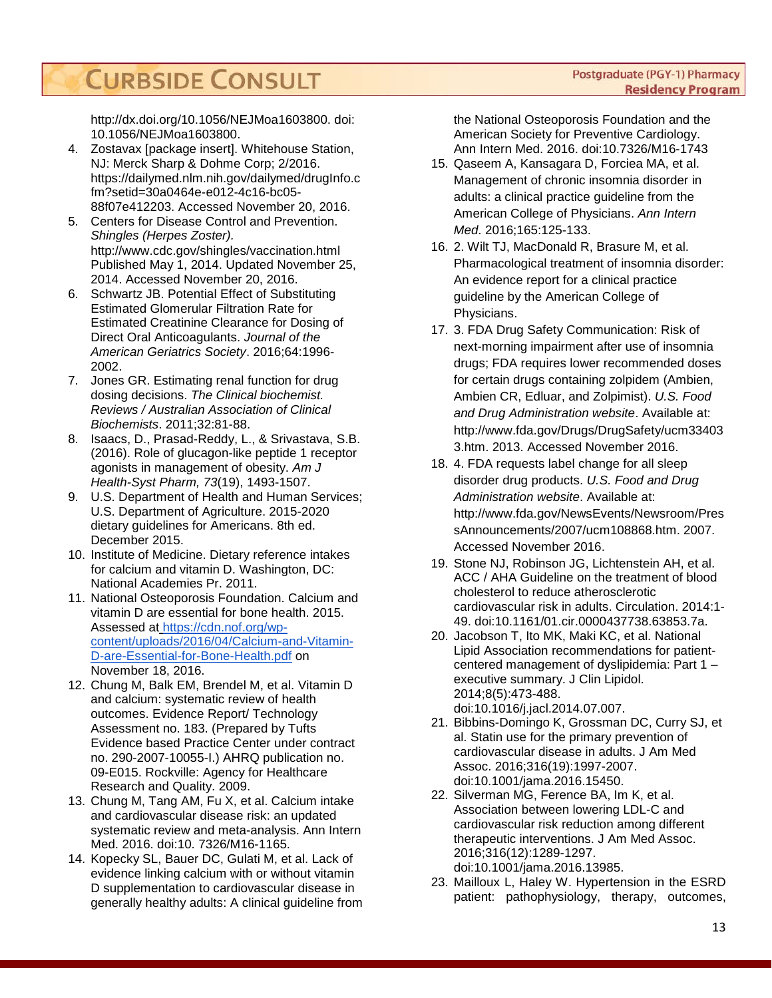http://dx.doi.org/10.1056/NEJMoa1603800. doi: 10.1056/NEJMoa1603800.

- 4. Zostavax [package insert]. Whitehouse Station, NJ: Merck Sharp & Dohme Corp; 2/2016. https://dailymed.nlm.nih.gov/dailymed/drugInfo.c fm?setid=30a0464e-e012-4c16-bc05- 88f07e412203. Accessed November 20, 2016.
- 5. Centers for Disease Control and Prevention. *Shingles (Herpes Zoster).* http://www.cdc.gov/shingles/vaccination.html Published May 1, 2014. Updated November 25, 2014. Accessed November 20, 2016.
- 6. Schwartz JB. Potential Effect of Substituting Estimated Glomerular Filtration Rate for Estimated Creatinine Clearance for Dosing of Direct Oral Anticoagulants. *Journal of the American Geriatrics Society*. 2016;64:1996- 2002.
- 7. Jones GR. Estimating renal function for drug dosing decisions. *The Clinical biochemist. Reviews / Australian Association of Clinical Biochemists*. 2011;32:81-88.
- 8. Isaacs, D., Prasad-Reddy, L., & Srivastava, S.B. (2016). Role of glucagon-like peptide 1 receptor agonists in management of obesity. *Am J Health-Syst Pharm, 73*(19), 1493-1507.
- 9. U.S. Department of Health and Human Services; U.S. Department of Agriculture. 2015-2020 dietary guidelines for Americans. 8th ed. December 2015.
- 10. Institute of Medicine. Dietary reference intakes for calcium and vitamin D. Washington, DC: National Academies Pr. 2011.
- 11. National Osteoporosis Foundation. Calcium and vitamin D are essential for bone health. 2015. Assessed at [https://cdn.nof.org/wp](https://cdn.nof.org/wp-content/uploads/2016/04/Calcium-and-Vitamin-D-are-Essential-for-Bone-Health.pdf)[content/uploads/2016/04/Calcium-and-Vitamin-](https://cdn.nof.org/wp-content/uploads/2016/04/Calcium-and-Vitamin-D-are-Essential-for-Bone-Health.pdf)[D-are-Essential-for-Bone-Health.pdf](https://cdn.nof.org/wp-content/uploads/2016/04/Calcium-and-Vitamin-D-are-Essential-for-Bone-Health.pdf) on November 18, 2016.
- 12. Chung M, Balk EM, Brendel M, et al. Vitamin D and calcium: systematic review of health outcomes. Evidence Report/ Technology Assessment no. 183. (Prepared by Tufts Evidence based Practice Center under contract no. 290-2007-10055-I.) AHRQ publication no. 09-E015. Rockville: Agency for Healthcare Research and Quality. 2009.
- 13. Chung M, Tang AM, Fu X, et al. Calcium intake and cardiovascular disease risk: an updated systematic review and meta-analysis. Ann Intern Med. 2016. doi:10. 7326/M16-1165.
- 14. Kopecky SL, Bauer DC, Gulati M, et al. Lack of evidence linking calcium with or without vitamin D supplementation to cardiovascular disease in generally healthy adults: A clinical guideline from

the National Osteoporosis Foundation and the American Society for Preventive Cardiology. Ann Intern Med. 2016. doi:10.7326/M16-1743

- 15. Qaseem A, Kansagara D, Forciea MA, et al. Management of chronic insomnia disorder in adults: a clinical practice guideline from the American College of Physicians. *Ann Intern Med*. 2016;165:125-133.
- 16. 2. Wilt TJ, MacDonald R, Brasure M, et al. Pharmacological treatment of insomnia disorder: An evidence report for a clinical practice guideline by the American College of Physicians.
- 17. 3. FDA Drug Safety Communication: Risk of next-morning impairment after use of insomnia drugs; FDA requires lower recommended doses for certain drugs containing zolpidem (Ambien, Ambien CR, Edluar, and Zolpimist). *U.S. Food and Drug Administration website*. Available at: http://www.fda.gov/Drugs/DrugSafety/ucm33403 3.htm. 2013. Accessed November 2016.
- 18. 4. FDA requests label change for all sleep disorder drug products. *U.S. Food and Drug Administration website*. Available at: http://www.fda.gov/NewsEvents/Newsroom/Pres sAnnouncements/2007/ucm108868.htm. 2007. Accessed November 2016.
- 19. Stone NJ, Robinson JG, Lichtenstein AH, et al. ACC / AHA Guideline on the treatment of blood cholesterol to reduce atherosclerotic cardiovascular risk in adults. Circulation. 2014:1- 49. doi:10.1161/01.cir.0000437738.63853.7a.
- 20. Jacobson T, Ito MK, Maki KC, et al. National Lipid Association recommendations for patientcentered management of dyslipidemia: Part 1 – executive summary. J Clin Lipidol. 2014;8(5):473-488. doi:10.1016/j.jacl.2014.07.007.
- 21. Bibbins-Domingo K, Grossman DC, Curry SJ, et al. Statin use for the primary prevention of cardiovascular disease in adults. J Am Med Assoc. 2016;316(19):1997-2007. doi:10.1001/jama.2016.15450.
- 22. Silverman MG, Ference BA, Im K, et al. Association between lowering LDL-C and cardiovascular risk reduction among different therapeutic interventions. J Am Med Assoc. 2016;316(12):1289-1297. doi:10.1001/jama.2016.13985.
- 23. Mailloux L, Haley W. Hypertension in the ESRD patient: pathophysiology, therapy, outcomes,